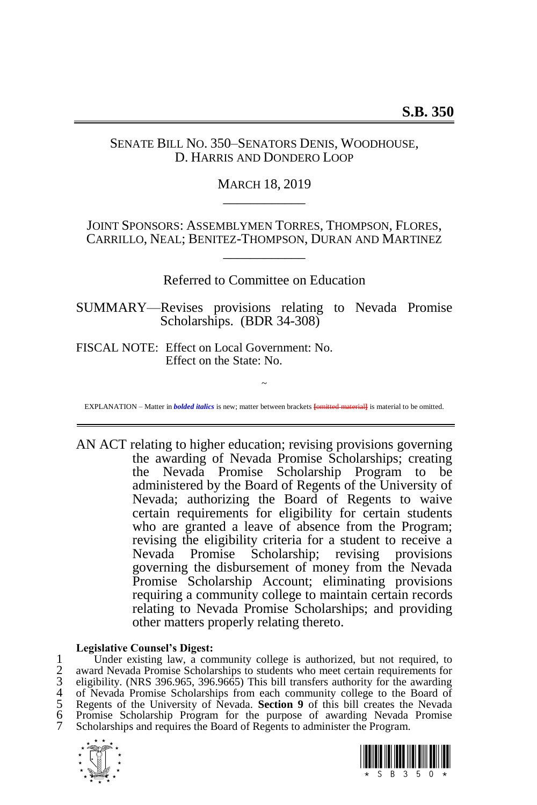# SENATE BILL NO. 350–SENATORS DENIS, WOODHOUSE, D. HARRIS AND DONDERO LOOP

# MARCH 18, 2019 \_\_\_\_\_\_\_\_\_\_\_\_

JOINT SPONSORS: ASSEMBLYMEN TORRES, THOMPSON, FLORES, CARRILLO, NEAL; BENITEZ-THOMPSON, DURAN AND MARTINEZ \_\_\_\_\_\_\_\_\_\_\_\_

Referred to Committee on Education

SUMMARY—Revises provisions relating to Nevada Promise Scholarships. (BDR 34-308)

FISCAL NOTE: Effect on Local Government: No. Effect on the State: No.

~ EXPLANATION – Matter in *bolded italics* is new; matter between brackets **[**omitted material**]** is material to be omitted.

AN ACT relating to higher education; revising provisions governing the awarding of Nevada Promise Scholarships; creating the Nevada Promise Scholarship Program to be administered by the Board of Regents of the University of Nevada; authorizing the Board of Regents to waive certain requirements for eligibility for certain students who are granted a leave of absence from the Program; revising the eligibility criteria for a student to receive a Nevada Promise Scholarship; revising provisions governing the disbursement of money from the Nevada Promise Scholarship Account; eliminating provisions requiring a community college to maintain certain records relating to Nevada Promise Scholarships; and providing other matters properly relating thereto.

### **Legislative Counsel's Digest:**

1 Under existing law, a community college is authorized, but not required, to<br>2 award Nevada Promise Scholarships to students who meet certain requirements for<br>3 eligibility. (NRS 396.965, 396.9665) This bill transfers aut award Nevada Promise Scholarships to students who meet certain requirements for 3 eligibility. (NRS 396.965, 396.9665) This bill transfers authority for the awarding of Nevada Promise Scholarships from each community college to the Board of 5 Regents of the University of Nevada. **Section 9** of this bill creates the Nevada 6 Promise Scholarship Program for the purpose of awarding Nevada Promise Scholarships and requires the Board of Regents to administer the Program.



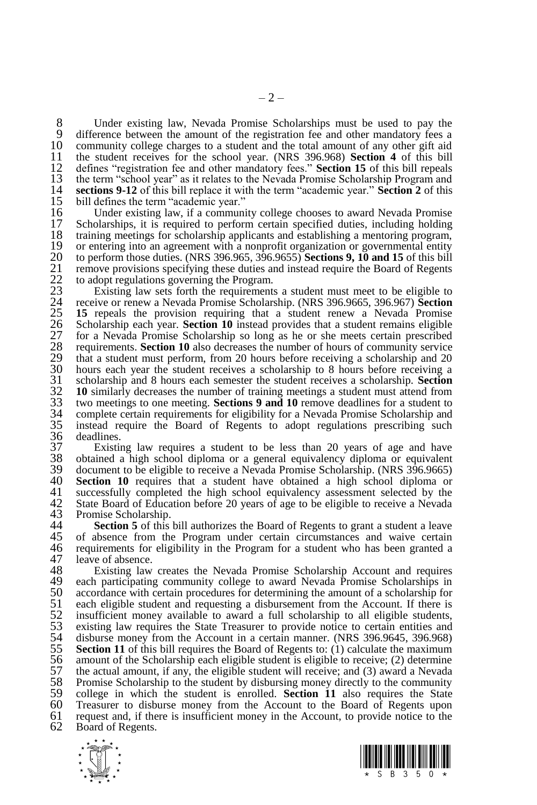8 Under existing law, Nevada Promise Scholarships must be used to pay the 9 difference between the amount of the registration fee and other mandatory fees a 9 difference between the amount of the registration fee and other mandatory fees a<br>10 community college charges to a student and the total amount of any other gift aid 10 community college charges to a student and the total amount of any other gift aid<br>11 the student receives for the school year. (NRS 396.968) **Section 4** of this bill 11 the student receives for the school year. (NRS 396.968) **Section 4** of this bill 12 defines "registration fee and other mandatory fees." **Section 15** of this bill repeals the term "school year" as it relates to the Nevada Promise Scholarship Program and 13 the term "school year" as it relates to the Nevada Promise Scholarship Program and 14 sections 9-12 of this bill replace it with the term "academic year." Section 2 of this 14 **sections 9-12** of this bill replace it with the term "academic year." **Section 2** of this 15 bill defines the term "academic year."<br>16 Under existing law, if a communi

16 Under existing law, if a community college chooses to award Nevada Promise<br>17 Scholarships, it is required to perform certain specified duties, including holding 17 Scholarships, it is required to perform certain specified duties, including holding training meetings for scholarship applicants and establishing a mentoring program, 18 training meetings for scholarship applicants and establishing a mentoring program,<br>19 or entering into an agreement with a nonprofit organization or governmental entity 19 or entering into an agreement with a nonprofit organization or governmental entity  $20$  to perform those duties. (NRS 396.965, 396.9655) **Sections 9.10 and 15** of this bill 20 to perform those duties. (NRS 396.965, 396.9655) **Sections 9, 10 and 15** of this bill<br>21 remove provisions specifying these duties and instead require the Board of Regents<br>22 to adopt regulations governing the Program.<br> 21 remove provisions specifying these duties and instead require the Board of Regents to adopt regulations governing the Program.

Existing law sets forth the requirements a student must meet to be eligible to 24 receive or renew a Nevada Promise Scholarship. (NRS 396.9665, 396.967) **Section**  25 **15** repeals the provision requiring that a student renew a Nevada Promise<br>26 Scholarship each year. **Section 10** instead provides that a student remains eligible<br>27 for a Nevada Promise Scholarship so long as he or she 26 Scholarship each year. **Section 10** instead provides that a student remains eligible 27 for a Nevada Promise Scholarship so long as he or she meets certain prescribed requirements. **Section 10** also decreases the number of hours of community service that a student must perform, from 20 hours before receiving a scholarship and 20 30 hours each year the student receives a scholarship to 8 hours before receiving a scholarship and 8 hours each semester the student receives a scholarship. **Section** 31 scholarship and 8 hours each semester the student receives a scholarship. **Section**  32 **10** similarly decreases the number of training meetings a student must attend from two meetings to one meeting. **Sections 9 and 10** remove deadlines for a student to 33 two meetings to one meeting. **Sections 9 and 10** remove deadlines for a student to 34 complete certain requirements for eligibility for a Nevada Promise Scholarship and 35 instead require the Board of Regents to adopt regulations prescribing such 36 deadlines. 36 deadlines.<br>37 Existii

37 Existing law requires a student to be less than 20 years of age and have 38 obtained a high school diploma or a general equivalency diploma or equivalent 39 document to be eligible to receive a Nevada Promise Scholarship. (NRS 396.9665)<br>40 **Section 10** requires that a student have obtained a high school diploma or 40 **Section 10** requires that a student have obtained a high school diploma or  $41$  successfully completed the high school equivalency assessment selected by the 41 successfully completed the high school equivalency assessment selected by the 42 State Board of Education before 20 years of age to be eligible to receive a Nevada 42 State Board of Education before 20 years of age to be eligible to receive a Nevada 43 Promise Scholarship.<br>44 **Section 5** of this

**Section 5** of this bill authorizes the Board of Regents to grant a student a leave 45 of absence from the Program under certain circumstances and waive certain 45 of absence from the Program under certain circumstances and waive certain 46 requirements for eligibility in the Program for a student who has been granted a 46 requirements for eligibility in the Program for a student who has been granted a 47 leave of absence. 47 leave of absence.<br>48 Existing law

48 Existing law creates the Nevada Promise Scholarship Account and requires 49 each participating community college to award Nevada Promise Scholarships in 49 each participating community college to award Nevada Promise Scholarships in accordance with certain procedures for determining the amount of a scholarship for 50 accordance with certain procedures for determining the amount of a scholarship for 51 each eligible student and requesting a disbursement from the Account. If there is 51 each eligible student and requesting a disbursement from the Account. If there is<br>52 insufficient money available to award a full scholarship to all eligible students,<br>53 existing law requires the State Treasurer to pro insufficient money available to award a full scholarship to all eligible students, existing law requires the State Treasurer to provide notice to certain entities and 54 disburse money from the Account in a certain manner. (NRS 396.9645, 396.968)<br>55 **Section 11** of this bill requires the Board of Regents to: (1) calculate the maximum 55 **Section 11** of this bill requires the Board of Regents to: (1) calculate the maximum 56 amount of the Scholarship each eligible student is eligible to receive; (2) determine 56 amount of the Scholarship each eligible student is eligible to receive; (2) determine 57 the actual amount, if any, the eligible student will receive; and (3) award a Nevada 57 the actual amount, if any, the eligible student will receive; and (3) award a Nevada 58 Promise Scholarship to the student by disbursing money directly to the community 58 Promise Scholarship to the student by disbursing money directly to the community<br>59 college in which the student is enrolled. **Section 11** also requires the State 59 college in which the student is enrolled. **Section 11** also requires the State 60 Treasurer to disburse money from the Account to the Board of Regents upon 61 request and, if there is insufficient money in the Account, to provide notice to the 62 Board of Regents. Board of Regents.



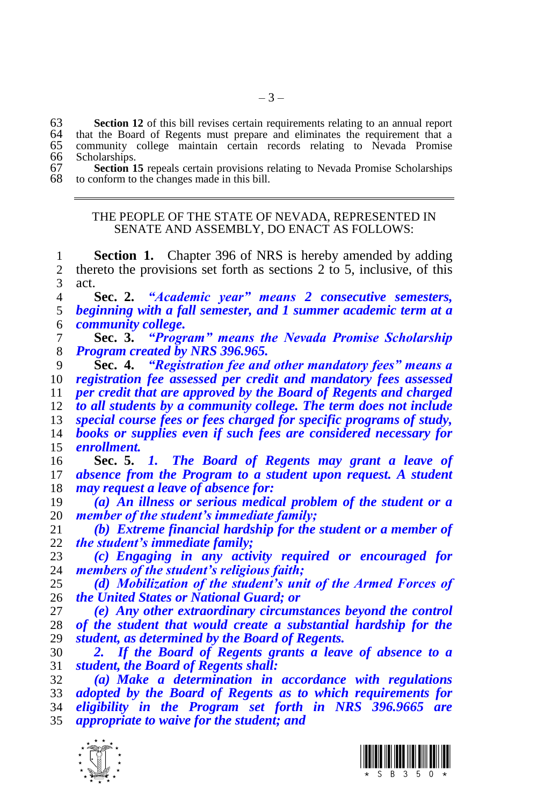**Section 12** of this bill revises certain requirements relating to an annual report 64 that the Board of Regents must prepare and eliminates the requirement that a that the Board of Regents must prepare and eliminates the requirement that a community college maintain certain records relating to Nevada Promise Scholarships.

| 67 | <b>Section 15</b> repeals certain provisions relating to Nevada Promise Scholarships |
|----|--------------------------------------------------------------------------------------|
|    | 68 to conform to the changes made in this bill.                                      |

#### THE PEOPLE OF THE STATE OF NEVADA, REPRESENTED IN SENATE AND ASSEMBLY, DO ENACT AS FOLLOWS:

 **Section 1.** Chapter 396 of NRS is hereby amended by adding thereto the provisions set forth as sections 2 to 5, inclusive, of this act.

 **Sec. 2.** *"Academic year" means 2 consecutive semesters, beginning with a fall semester, and 1 summer academic term at a community college.*

 **Sec. 3.** *"Program" means the Nevada Promise Scholarship Program created by NRS 396.965.*

 **Sec. 4.** *"Registration fee and other mandatory fees" means a registration fee assessed per credit and mandatory fees assessed per credit that are approved by the Board of Regents and charged* 

 *to all students by a community college. The term does not include special course fees or fees charged for specific programs of study,* 

 *books or supplies even if such fees are considered necessary for enrollment.* 

 **Sec. 5.** *1. The Board of Regents may grant a leave of absence from the Program to a student upon request. A student may request a leave of absence for:*

 *(a) An illness or serious medical problem of the student or a member of the student's immediate family;*

 *(b) Extreme financial hardship for the student or a member of the student's immediate family;*

 *(c) Engaging in any activity required or encouraged for members of the student's religious faith;*

 *(d) Mobilization of the student's unit of the Armed Forces of the United States or National Guard; or*

 *(e) Any other extraordinary circumstances beyond the control of the student that would create a substantial hardship for the student, as determined by the Board of Regents.*

 *2. If the Board of Regents grants a leave of absence to a student, the Board of Regents shall:*

 *(a) Make a determination in accordance with regulations adopted by the Board of Regents as to which requirements for eligibility in the Program set forth in NRS 396.9665 are appropriate to waive for the student; and*



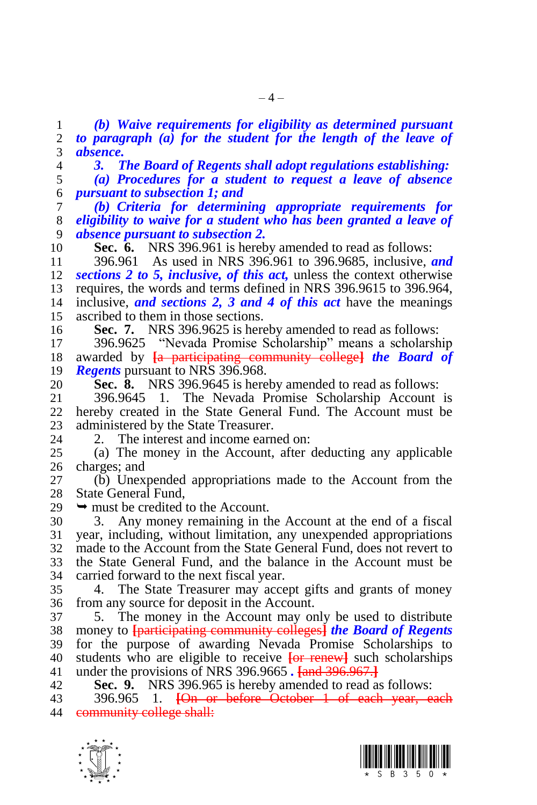*(b) Waive requirements for eligibility as determined pursuant to paragraph (a) for the student for the length of the leave of absence.* 

*3. The Board of Regents shall adopt regulations establishing:*

 *(a) Procedures for a student to request a leave of absence pursuant to subsection 1; and*

 *(b) Criteria for determining appropriate requirements for eligibility to waive for a student who has been granted a leave of absence pursuant to subsection 2.* 

**Sec. 6.** NRS 396.961 is hereby amended to read as follows:

 396.961 As used in NRS 396.961 to 396.9685, inclusive, *and sections 2 to 5, inclusive, of this act,* unless the context otherwise requires, the words and terms defined in NRS 396.9615 to 396.964, inclusive, *and sections 2, 3 and 4 of this act* have the meanings ascribed to them in those sections.

**Sec. 7.** NRS 396.9625 is hereby amended to read as follows:

 396.9625 "Nevada Promise Scholarship" means a scholarship awarded by **[**a participating community college**]** *the Board of Regents* pursuant to NRS 396.968.

**Sec. 8.** NRS 396.9645 is hereby amended to read as follows:

 396.9645 1. The Nevada Promise Scholarship Account is hereby created in the State General Fund. The Account must be 23 administered by the State Treasurer.<br>24 2. The interest and income earn

2. The interest and income earned on:

 (a) The money in the Account, after deducting any applicable charges; and

 (b) Unexpended appropriations made to the Account from the State General Fund,

 $29 \rightarrow$  must be credited to the Account.

 3. Any money remaining in the Account at the end of a fiscal year, including, without limitation, any unexpended appropriations made to the Account from the State General Fund, does not revert to the State General Fund, and the balance in the Account must be carried forward to the next fiscal year.

 4. The State Treasurer may accept gifts and grants of money from any source for deposit in the Account.

 5. The money in the Account may only be used to distribute money to **[**participating community colleges**]** *the Board of Regents*  for the purpose of awarding Nevada Promise Scholarships to students who are eligible to receive **[**or renew**]** such scholarships under the provisions of NRS 396.9665 *.* **[**and 396.967.**]**

**Sec. 9.** NRS 396.965 is hereby amended to read as follows:

 396.965 1. **[**On or before October 1 of each year, each **community college shall:** 



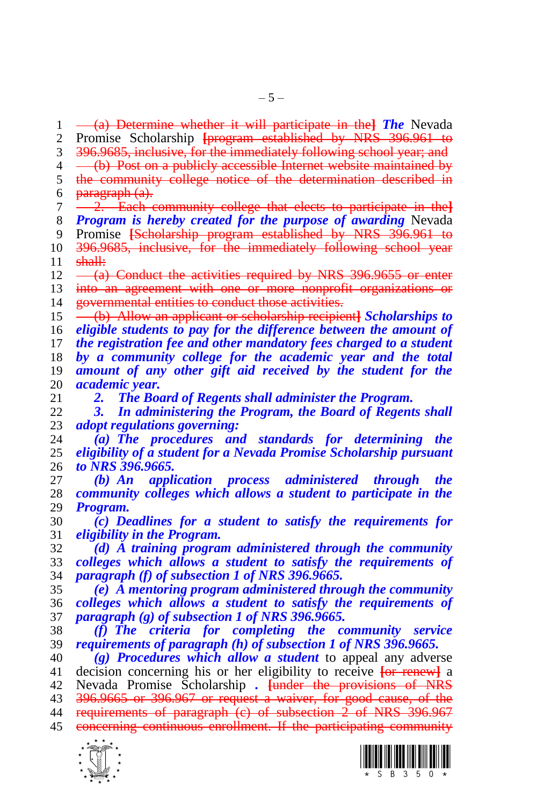(a) Determine whether it will participate in the**]** *The* Nevada Promise Scholarship **[**program established by NRS 396.961 to 396.9685, inclusive, for the immediately following school year; and 4 (b) Post on a publicly accessible Internet website maintained by<br>5 the community college notice of the determination described in the community college notice of the determination described in paragraph  $(a)$ . 2. Each community college that elects to participate in the**]**

 *Program is hereby created for the purpose of awarding* Nevada Promise **[**Scholarship program established by NRS 396.961 to 396.9685, inclusive, for the immediately following school year shall:

 $12 \left( \frac{\text{a}}{\text{a}} \right)$  Conduct the activities required by NRS 396.9655 or enter into an agreement with one or more nonprofit organizations or **governmental entities to conduct those activities.** 

 (b) Allow an applicant or scholarship recipient**]** *Scholarships to eligible students to pay for the difference between the amount of the registration fee and other mandatory fees charged to a student by a community college for the academic year and the total amount of any other gift aid received by the student for the academic year.*

*2. The Board of Regents shall administer the Program.* 

 *3. In administering the Program, the Board of Regents shall adopt regulations governing:*

 *(a) The procedures and standards for determining the eligibility of a student for a Nevada Promise Scholarship pursuant to NRS 396.9665.*

 *(b) An application process administered through the community colleges which allows a student to participate in the Program.*

 *(c) Deadlines for a student to satisfy the requirements for eligibility in the Program.*

 *(d) A training program administered through the community colleges which allows a student to satisfy the requirements of paragraph (f) of subsection 1 of NRS 396.9665.*

 *(e) A mentoring program administered through the community colleges which allows a student to satisfy the requirements of paragraph (g) of subsection 1 of NRS 396.9665.*

 *(f) The criteria for completing the community service requirements of paragraph (h) of subsection 1 of NRS 396.9665.*

 *(g) Procedures which allow a student* to appeal any adverse decision concerning his or her eligibility to receive **[**or renew**]** a Nevada Promise Scholarship *.* **[**under the provisions of NRS 396.9665 or 396.967 or request a waiver, for good cause, of the 44 requirements of paragraph (c) of subsection 2 of NRS 396.967





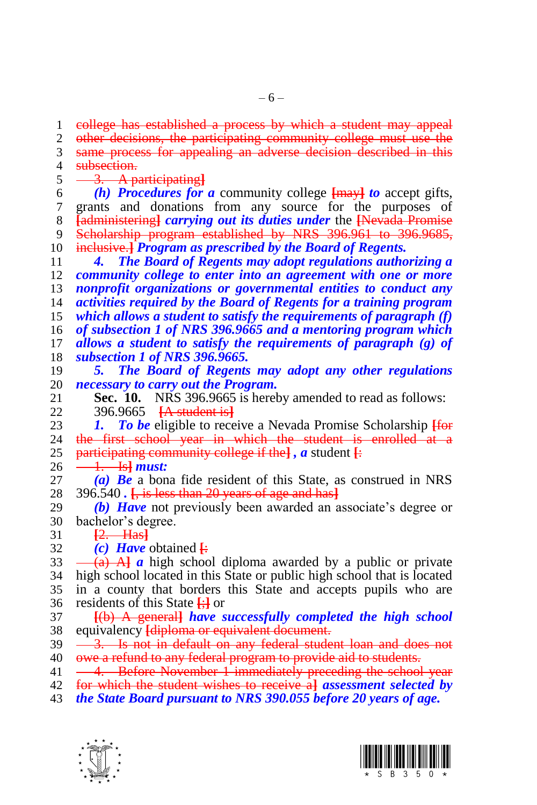$-6-$ 

 college has established a process by which a student may appeal other decisions, the participating community college must use the same process for appealing an adverse decision described in this **subsection.**<br>5  $\frac{3.}{4}$ 

3. A participating**]**

 *(h) Procedures for a* community college **[**may**]** *to* accept gifts, grants and donations from any source for the purposes of **[**administering**]** *carrying out its duties under* the **[**Nevada Promise Scholarship program established by NRS 396.961 to 396.9685, inclusive.**]** *Program as prescribed by the Board of Regents.* 

 *4. The Board of Regents may adopt regulations authorizing a community college to enter into an agreement with one or more nonprofit organizations or governmental entities to conduct any activities required by the Board of Regents for a training program which allows a student to satisfy the requirements of paragraph (f) of subsection 1 of NRS 396.9665 and a mentoring program which allows a student to satisfy the requirements of paragraph (g) of subsection 1 of NRS 396.9665.* 

- *5. The Board of Regents may adopt any other regulations necessary to carry out the Program.*
- **Sec. 10.** NRS 396.9665 is hereby amended to read as follows: 396.9665 **[**A student is**]**

23 *1. To be* eligible to receive a Nevada Promise Scholarship <del>[for</del> 24 the first school year in which the student is enrolled at a the first school year in which the student is enrolled at a participating community college if the**]** *, a* student **[**:

 $26 \frac{1}{1}$  **Is** *must:* 

 *(a) Be* a bona fide resident of this State, as construed in NRS 396.540 *.* **[**, is less than 20 years of age and has**]**

- *(b) Have* not previously been awarded an associate's degree or bachelor's degree.
- **[**2. Has**]**
- *(c) Have* obtained **[**:

 $33 \left(4\right)$  A  $\left(4\right)$  a high school diploma awarded by a public or private high school located in this State or public high school that is located in a county that borders this State and accepts pupils who are residents of this State **[**;**]** or

- **[**(b) A general**]** *have successfully completed the high school*  equivalency **[**diploma or equivalent document.
- 39 <del>3. Is not in default on any federal student loan and does not</del> 40 owe a refund to any federal program to provide aid to students.
- 41 -4. Before November 1 immediately preceding the school year
- for which the student wishes to receive a**]** *assessment selected by*
- *the State Board pursuant to NRS 390.055 before 20 years of age.*



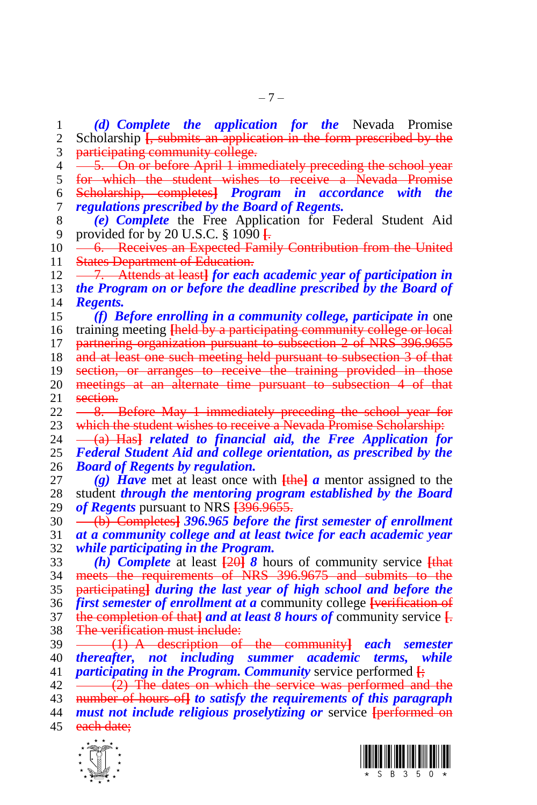$\frac{1}{x}$  7. Attends at least**]** *for each academic year of participation in (f) Before enrolling in a community college, participate in* one meetings at an alternate time pursuant to subsection 4 of that 23 which the student wishes to receive a Nevada Promise Scholarship:<br>24  $-$  (a) Hash related to financial aid, the Free Annlication fo  $-\left(a\right)$  Has<sup>3</sup> *related to financial aid, the Free Application for Board of Regents by regulation.*  $42 \leftarrow (2)$  The dates on which the service was performed and the number of hours of**]** *to satisfy the requirements of this paragraph must not include religious proselytizing or* service **[**performed on 45 each date:

 *(d) Complete the application for the* Nevada Promise Scholarship **[**, submits an application in the form prescribed by the

 participating community college. 4 <del>5. On or before April 1 immediately preceding the school year</del><br>5 for which the student wishes to receive a Nevada Promise for which the student wishes to receive a Nevada Promise

 Scholarship, completes**]** *Program in accordance with the regulations prescribed by the Board of Regents.*

10 - 6. Receives an Expected Family Contribution from the United 11 States Department of Education.

 *the Program on or before the deadline prescribed by the Board of Regents.*

training meeting **[**held by a participating community college or local

17 partnering organization pursuant to subsection 2 of NRS 396.9655

18 and at least one such meeting held pursuant to subsection 3 of that

section, or arranges to receive the training provided in those

- 21 section.
- $22 \longrightarrow$   $\frac{8}{1000}$  Before May 1 immediately preceding the school year for

*Federal Student Aid and college orientation, as prescribed by the* 

 *(g) Have* met at least once with **[**the**]** *a* mentor assigned to the student *through the mentoring program established by the Board of Regents* pursuant to NRS **[**396.9655.

 (b) Completes**]** *396.965 before the first semester of enrollment at a community college and at least twice for each academic year while participating in the Program.*

 *(h) Complete* at least **[**20**]** *8* hours of community service **[**that meets the requirements of NRS 396.9675 and submits to the participating**]** *during the last year of high school and before the first semester of enrollment at a* community college **[**verification of the completion of that**]** *and at least 8 hours of* community service **[**. 38 The verification must include:

 (1) A description of the community**]** *each semester thereafter, not including summer academic terms, while participating in the Program. Community* service performed **[**;





 *(e) Complete* the Free Application for Federal Student Aid provided for by 20 U.S.C. § 1090 **[**.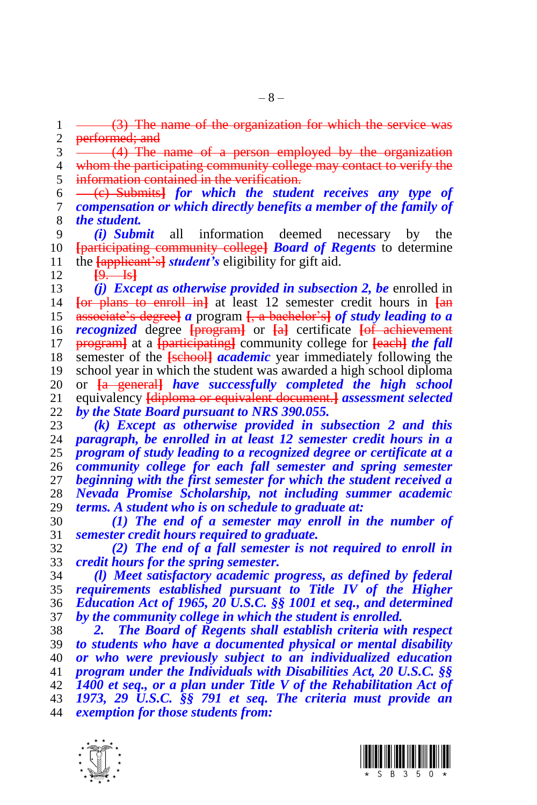$1 \longrightarrow (3)$  The name of the organization for which the service 2 performed; and<br>3  $\frac{\text{performed}}{\text{4}}$ . The

 (4) The name of a person employed by the organization 4 whom the participating community college may contact to verify the <br>5 information contained in the verification. information contained in the verification.

 (c) Submits**]** *for which the student receives any type of compensation or which directly benefits a member of the family of the student.*

 *(i) Submit* all information deemed necessary by the **[**participating community college**]** *Board of Regents* to determine the **[**applicant's**]** *student's* eligibility for gift aid.

**[**9. Is**]**

 *(j) Except as otherwise provided in subsection 2, be* enrolled in **[**or plans to enroll in**]** at least 12 semester credit hours in **[**an associate's degree**]** *a* program **[**, a bachelor's**]** *of study leading to a recognized* degree **[**program**]** or **[**a**]** certificate **[**of achievement program**]** at a **[**participating**]** community college for **[**each**]** *the fall*  semester of the **[**school**]** *academic* year immediately following the school year in which the student was awarded a high school diploma or **[**a general**]** *have successfully completed the high school*  equivalency **[**diploma or equivalent document.**]** *assessment selected by the State Board pursuant to NRS 390.055.*

 *(k) Except as otherwise provided in subsection 2 and this paragraph, be enrolled in at least 12 semester credit hours in a program of study leading to a recognized degree or certificate at a community college for each fall semester and spring semester beginning with the first semester for which the student received a Nevada Promise Scholarship, not including summer academic terms. A student who is on schedule to graduate at:*

 *(1) The end of a semester may enroll in the number of semester credit hours required to graduate.*

 *(2) The end of a fall semester is not required to enroll in credit hours for the spring semester.*

 *(l) Meet satisfactory academic progress, as defined by federal requirements established pursuant to Title IV of the Higher Education Act of 1965, 20 U.S.C. §§ 1001 et seq., and determined by the community college in which the student is enrolled.* 

 *2. The Board of Regents shall establish criteria with respect to students who have a documented physical or mental disability or who were previously subject to an individualized education program under the Individuals with Disabilities Act, 20 U.S.C. §§ 1400 et seq., or a plan under Title V of the Rehabilitation Act of 1973, 29 U.S.C. §§ 791 et seq. The criteria must provide an exemption for those students from:*



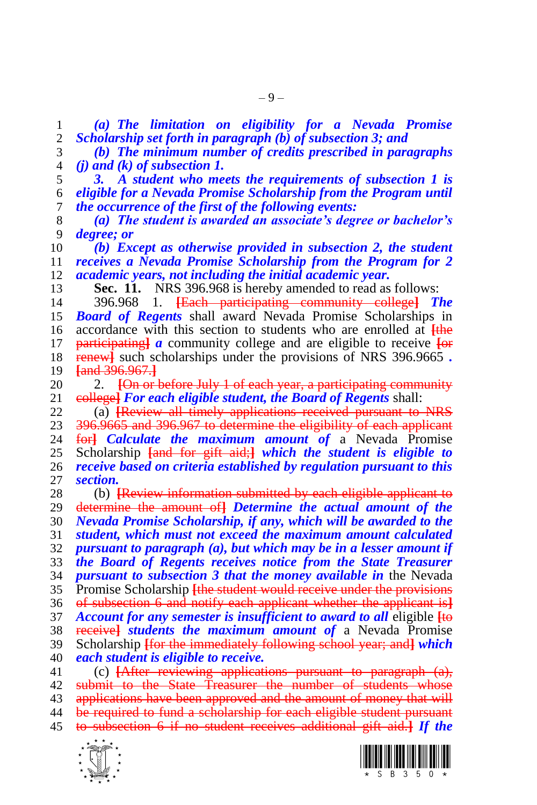*(a) The limitation on eligibility for a Nevada Promise Scholarship set forth in paragraph (b) of subsection 3; and*

- *(b) The minimum number of credits prescribed in paragraphs (j) and (k) of subsection 1.*
- *3. A student who meets the requirements of subsection 1 is eligible for a Nevada Promise Scholarship from the Program until the occurrence of the first of the following events:*
- *(a) The student is awarded an associate's degree or bachelor's degree; or*
- *(b) Except as otherwise provided in subsection 2, the student receives a Nevada Promise Scholarship from the Program for 2 academic years, not including the initial academic year.*
- **Sec. 11.** NRS 396.968 is hereby amended to read as follows:
- 396.968 1. **[**Each participating community college**]** *The Board of Regents* shall award Nevada Promise Scholarships in accordance with this section to students who are enrolled at **[**the participating**]** *a* community college and are eligible to receive **[**or renew**]** such scholarships under the provisions of NRS 396.9665 *.* **[**and 396.967.**]**
- 2. **[**On or before July 1 of each year, a participating community college**]** *For each eligible student, the Board of Regents* shall:
- (a) **[**Review all timely applications received pursuant to NRS 23 396.9665 and 396.967 to determine the eligibility of each applicant<br>24 fort *Calculate the maximum amount of* a Nevada Promise for *Calculate the maximum amount of a* Nevada Promise Scholarship **[**and for gift aid;**]** *which the student is eligible to receive based on criteria established by regulation pursuant to this section.*
- (b) **[**Review information submitted by each eligible applicant to determine the amount of**]** *Determine the actual amount of the Nevada Promise Scholarship, if any, which will be awarded to the student, which must not exceed the maximum amount calculated pursuant to paragraph (a), but which may be in a lesser amount if the Board of Regents receives notice from the State Treasurer pursuant to subsection 3 that the money available in* the Nevada Promise Scholarship **[**the student would receive under the provisions of subsection 6 and notify each applicant whether the applicant is**]** *Account for any semester is insufficient to award to all* eligible **[**to receive**]** *students the maximum amount of* a Nevada Promise Scholarship **[**for the immediately following school year; and**]** *which each student is eligible to receive.* (c) **[**After reviewing applications pursuant to paragraph (a), submit to the State Treasurer the number of students whose
- 43 applications have been approved and the amount of money that will be required to fund a scholarship for each eligible student pursuant to subsection 6 if no student receives additional gift aid.**]** *If the*



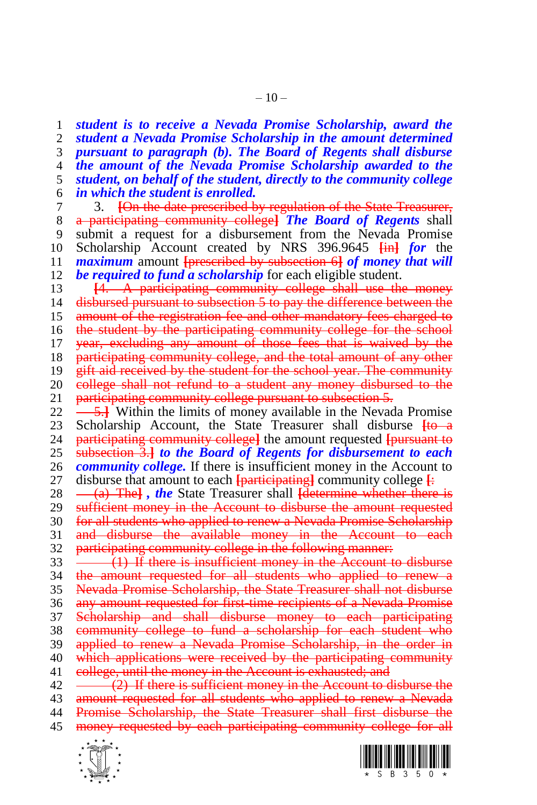*student is to receive a Nevada Promise Scholarship, award the student a Nevada Promise Scholarship in the amount determined pursuant to paragraph (b). The Board of Regents shall disburse the amount of the Nevada Promise Scholarship awarded to the student, on behalf of the student, directly to the community college in which the student is enrolled.* 

 3. **[**On the date prescribed by regulation of the State Treasurer, a participating community college**]** *The Board of Regents* shall submit a request for a disbursement from the Nevada Promise Scholarship Account created by NRS 396.9645 **[**in**]** *for* the *maximum* amount **[**prescribed by subsection 6**]** *of money that will be required to fund a scholarship* for each eligible student.

13 **[**4. A participating community college shall use the money 14 disbursed pursuant to subsection 5 to pay the difference between the 15 amount of the registration fee and other mandatory fees charged to 16 the student by the participating community college for the school 17 year, excluding any amount of those fees that is waived by the 18 participating community college, and the total amount of any other 19 gift aid received by the student for the school year. The community 20 college shall not refund to a student any money disbursed to the 21 participating community college pursuant to subsection 5.

 $\frac{5.1}{2}$  Within the limits of money available in the Nevada Promise 23 Scholarship Account, the State Treasurer shall disburse  $\frac{1}{10}$  participating community collegel the amount requested from state to participating community college**]** the amount requested **[**pursuant to subsection 3.**]** *to the Board of Regents for disbursement to each community college.* If there is insufficient money in the Account to disburse that amount to each **[**participating**]** community college **[**:

28 (a) The<sup> $\text{}}$ </sup> *, the* State Treasurer shall *determine whether there is* 29 sufficient money in the Account to disburse the amount requested 30 for all students who applied to renew a Nevada Promise Scholarship 31 and disburse the available money in the Account to each 32 participating community college in the following manner:

33 (1) If there is insufficient money in the Account to disburse the amount requested for all students who applied to renew a Nevada Promise Scholarship, the State Treasurer shall not disburse 36 any amount requested for first-time recipients of a Nevada Promise Scholarship and shall disburse money to each participating community college to fund a scholarship for each student who applied to renew a Nevada Promise Scholarship, in the order in which applications were received by the participating community 41 eollege, until the money in the Account is exhausted; and

 $42 \leftarrow (2)$  If there is sufficient money in the Account to disburse the 43 amount requested for all students who applied to renew a Nevada 44 Promise Scholarship, the State Treasurer shall first disburse the 45 money requested by each participating community college for all



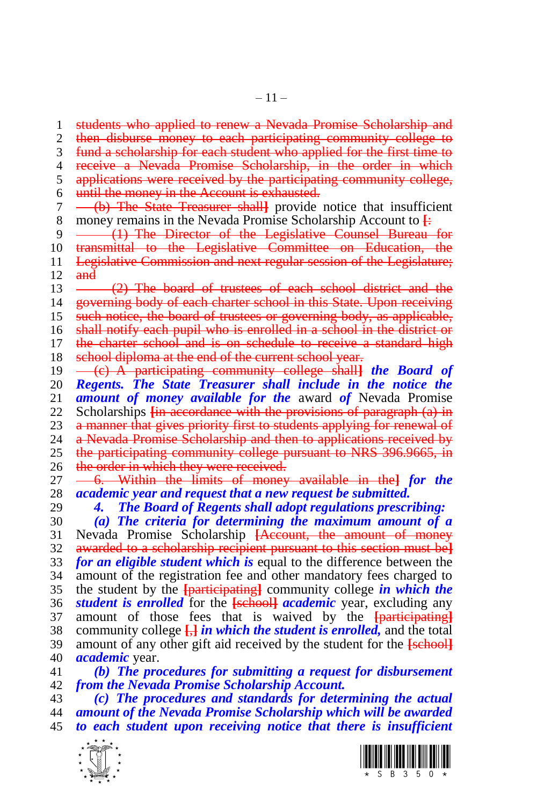– 11 –

1 students who applied to renew a Nevada Promise Scholarship and 2 then disburse money to each participating community college to fund a scholarship for each student who applied for the first time to 4 receive a Nevada Promise Scholarship, in the order in which<br>5 applications were received by the participating community college. applications were received by the participating community college, until the money in the Account is exhausted. (b) The State Treasurer shall**]** provide notice that insufficient money remains in the Nevada Promise Scholarship Account to **[**: 9 (1) The Director of the Legislative Counsel Bureau for 10 transmittal to the Legislative Committee on Education, the Legislative Commission and next regular session of the Legislature; and 13 (2) The board of trustees of each school district and the 14 governing body of each charter school in this State. Upon receiving such notice, the board of trustees or governing body, as applicable, 16 shall notify each pupil who is enrolled in a school in the district or 17 the charter school and is on schedule to receive a standard high 18 school diploma at the end of the current school year. (c) A participating community college shall**]** *the Board of Regents. The State Treasurer shall include in the notice the amount of money available for the* award *of* Nevada Promise Scholarships **[**in accordance with the provisions of paragraph (a) in 23 a manner that gives priority first to students applying for renewal of 24 a Nevada Promise Scholarship and then to applications received by a Nevada Promise Scholarship and then to applications received by the participating community college pursuant to NRS 396.9665, in 26 the order in which they were received.<br>27 <del>6. Within the limits of money</del>

 6. Within the limits of money available in the**]** *for the academic year and request that a new request be submitted.* 

*4. The Board of Regents shall adopt regulations prescribing:*

 *(a) The criteria for determining the maximum amount of a*  Nevada Promise Scholarship **[**Account, the amount of money awarded to a scholarship recipient pursuant to this section must be**]** *for an eligible student which is* equal to the difference between the amount of the registration fee and other mandatory fees charged to the student by the **[**participating**]** community college *in which the student is enrolled* for the **[**school**]** *academic* year, excluding any amount of those fees that is waived by the **[**participating**]** community college **[**,**]** *in which the student is enrolled,* and the total amount of any other gift aid received by the student for the **[**school**]** *academic* year.

 *(b) The procedures for submitting a request for disbursement from the Nevada Promise Scholarship Account.*

 *(c) The procedures and standards for determining the actual amount of the Nevada Promise Scholarship which will be awarded to each student upon receiving notice that there is insufficient* 



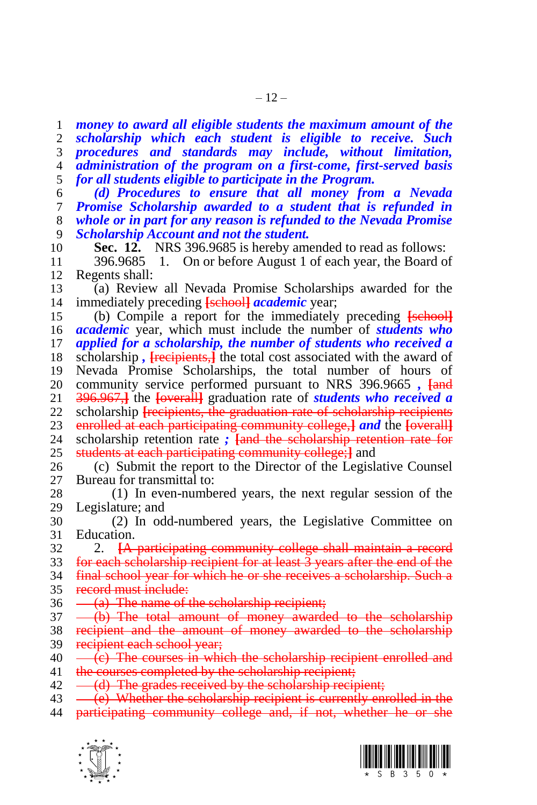*money to award all eligible students the maximum amount of the scholarship which each student is eligible to receive. Such procedures and standards may include, without limitation, administration of the program on a first-come, first-served basis for all students eligible to participate in the Program.*

 *(d) Procedures to ensure that all money from a Nevada Promise Scholarship awarded to a student that is refunded in whole or in part for any reason is refunded to the Nevada Promise Scholarship Account and not the student.* 

**Sec. 12.** NRS 396.9685 is hereby amended to read as follows:

 396.9685 1. On or before August 1 of each year, the Board of Regents shall:

 (a) Review all Nevada Promise Scholarships awarded for the immediately preceding **[**school**]** *academic* year;

 (b) Compile a report for the immediately preceding **[**school**]** *academic* year, which must include the number of *students who applied for a scholarship, the number of students who received a*  scholarship *,* **[**recipients,**]** the total cost associated with the award of Nevada Promise Scholarships, the total number of hours of community service performed pursuant to NRS 396.9665 *,* **[**and 396.967,**]** the **[**overall**]** graduation rate of *students who received a*  scholarship **[**recipients, the graduation rate of scholarship recipients enrolled at each participating community college,**]** *and* the **[**overall**]** scholarship retention rate *;* **[**and the scholarship retention rate for students at each participating community college;**]** and

 (c) Submit the report to the Director of the Legislative Counsel Bureau for transmittal to:

 (1) In even-numbered years, the next regular session of the Legislature; and

 (2) In odd-numbered years, the Legislative Committee on Education.

2. **[**A participating community college shall maintain a record

 for each scholarship recipient for at least 3 years after the end of the final school year for which he or she receives a scholarship. Such a

record must include:

 $36 \quad -$  (a) The name of the scholarship recipient;

(b) The total amount of money awarded to the scholarship

38 recipient and the amount of money awarded to the scholarship 39 recipient each school year;

 $40 \left( c \right)$  The courses in which the scholarship recipient enrolled and 41 the courses completed by the scholarship recipient;

 $42 \quad -\text{(d)}$  The grades received by the scholarship recipient;

43 (e) Whether the scholarship recipient is currently enrolled in the

participating community college and, if not, whether he or she



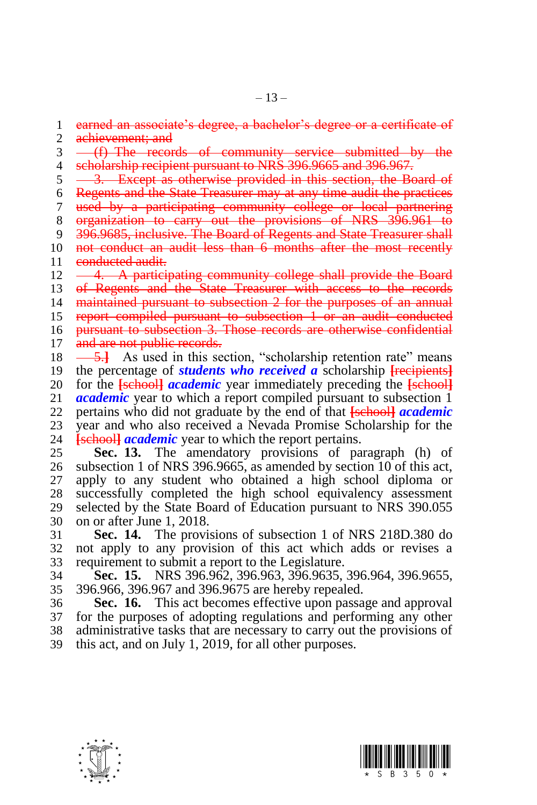earned an associate's degree, a bachelor's degree or a certificate of

2 achievement; and

3 (f) The records of community service submitted by the

- 4 scholarship recipient pursuant to NRS 396.9665 and 396.967.<br>5 3. Except as otherwise provided in this section, the Be
- 3. Except as otherwise provided in this section, the Board of
- Regents and the State Treasurer may at any time audit the practices

 used by a participating community college or local partnering organization to carry out the provisions of NRS 396.961 to

- 
- 396.9685, inclusive. The Board of Regents and State Treasurer shall not conduct an audit less than 6 months after the most recently
- 11 conducted audit.
- 12 -4. A participating community college shall provide the Board
- of Regents and the State Treasurer with access to the records
- 14 maintained pursuant to subsection 2 for the purposes of an annual

report compiled pursuant to subsection 1 or an audit conducted

pursuant to subsection 3. Those records are otherwise confidential

- 17 and are not public records.
- 18  $\frac{5.1}{2}$  As used in this section, "scholarship retention rate" means the percentage of *students who received a* scholarship **[**recipients**]** for the **[**school**]** *academic* year immediately preceding the **[**school**]** *academic* year to which a report compiled pursuant to subsection 1 pertains who did not graduate by the end of that **[**school**]** *academic*
- 23 year and who also received a Nevada Promise Scholarship for the 24 **Isebooll academic** year to which the report pertains. **[school]** *academic* year to which the report pertains.

 **Sec. 13.** The amendatory provisions of paragraph (h) of subsection 1 of NRS 396.9665, as amended by section 10 of this act, apply to any student who obtained a high school diploma or successfully completed the high school equivalency assessment selected by the State Board of Education pursuant to NRS 390.055 on or after June 1, 2018.

 **Sec. 14.** The provisions of subsection 1 of NRS 218D.380 do not apply to any provision of this act which adds or revises a requirement to submit a report to the Legislature.

 **Sec. 15.** NRS 396.962, 396.963, 396.9635, 396.964, 396.9655, 396.966, 396.967 and 396.9675 are hereby repealed.

 **Sec. 16.** This act becomes effective upon passage and approval for the purposes of adopting regulations and performing any other administrative tasks that are necessary to carry out the provisions of this act, and on July 1, 2019, for all other purposes.